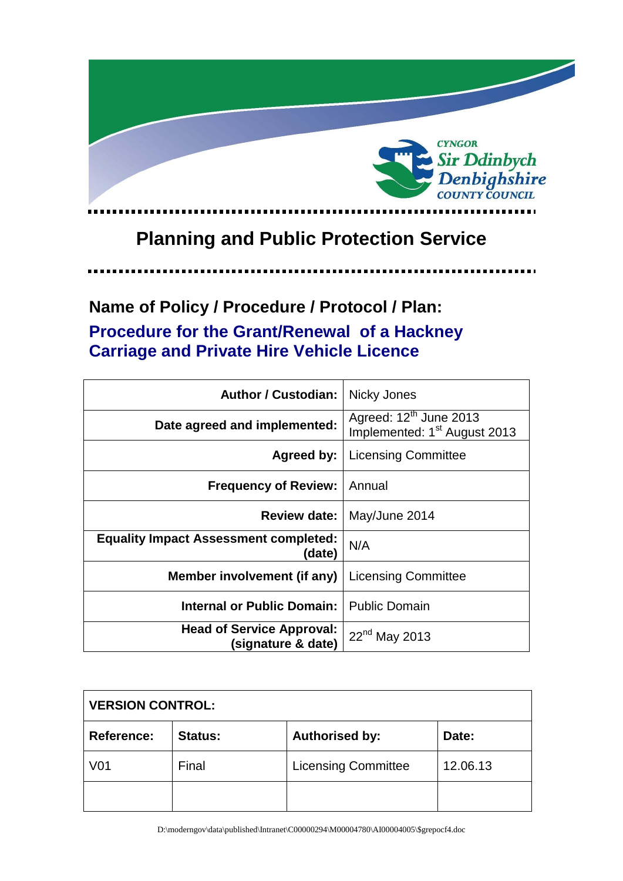

# **Planning and Public Protection Service**

o ma

## **Name of Policy / Procedure / Protocol / Plan: Procedure for the Grant/Renewal of a Hackney Carriage and Private Hire Vehicle Licence**

| <b>Author / Custodian:</b>                             | Nicky Jones                                                                    |
|--------------------------------------------------------|--------------------------------------------------------------------------------|
| Date agreed and implemented:                           | Agreed: 12 <sup>th</sup> June 2013<br>Implemented: 1 <sup>st</sup> August 2013 |
| Agreed by:                                             | <b>Licensing Committee</b>                                                     |
| <b>Frequency of Review:</b>                            | Annual                                                                         |
| <b>Review date:</b>                                    | May/June 2014                                                                  |
| <b>Equality Impact Assessment completed:</b><br>(date) | N/A                                                                            |
| Member involvement (if any)                            | <b>Licensing Committee</b>                                                     |
| Internal or Public Domain:                             | <b>Public Domain</b>                                                           |
| <b>Head of Service Approval:</b><br>(signature & date) | 22 <sup>nd</sup> May 2013                                                      |

| <b>VERSION CONTROL:</b> |                |                            |          |
|-------------------------|----------------|----------------------------|----------|
| <b>Reference:</b>       | <b>Status:</b> | <b>Authorised by:</b>      | Date:    |
| V <sub>01</sub>         | Final          | <b>Licensing Committee</b> | 12.06.13 |
|                         |                |                            |          |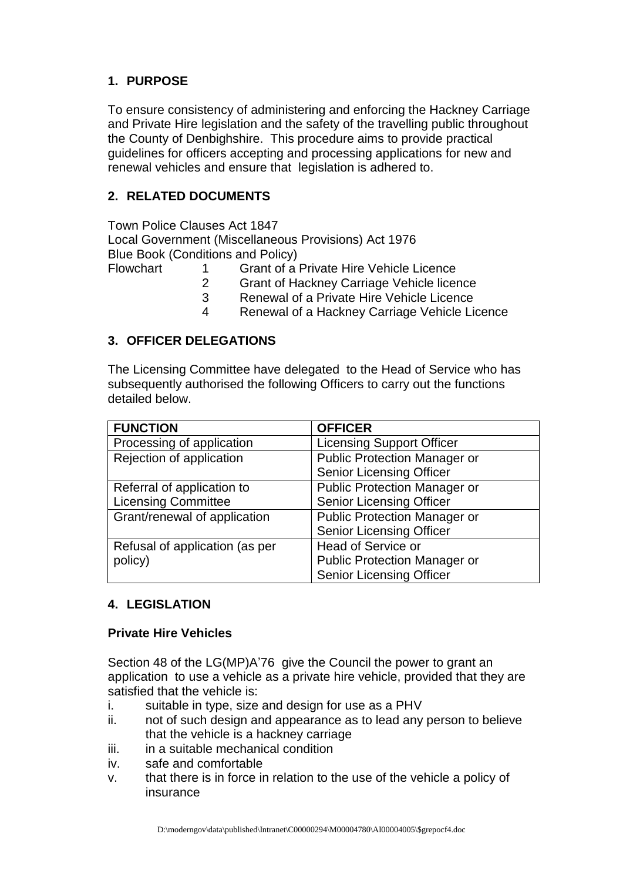## **1. PURPOSE**

To ensure consistency of administering and enforcing the Hackney Carriage and Private Hire legislation and the safety of the travelling public throughout the County of Denbighshire. This procedure aims to provide practical guidelines for officers accepting and processing applications for new and renewal vehicles and ensure that legislation is adhered to.

## **2. RELATED DOCUMENTS**

Town Police Clauses Act 1847 Local Government (Miscellaneous Provisions) Act 1976 Blue Book (Conditions and Policy)

- Flowchart 1 Grant of a Private Hire Vehicle Licence
	- 2 Grant of Hackney Carriage Vehicle licence
	- 3 Renewal of a Private Hire Vehicle Licence
	- 4 Renewal of a Hackney Carriage Vehicle Licence

## **3. OFFICER DELEGATIONS**

The Licensing Committee have delegated to the Head of Service who has subsequently authorised the following Officers to carry out the functions detailed below.

| <b>FUNCTION</b>                | <b>OFFICER</b>                      |
|--------------------------------|-------------------------------------|
| Processing of application      | <b>Licensing Support Officer</b>    |
| Rejection of application       | <b>Public Protection Manager or</b> |
|                                | <b>Senior Licensing Officer</b>     |
| Referral of application to     | <b>Public Protection Manager or</b> |
| <b>Licensing Committee</b>     | <b>Senior Licensing Officer</b>     |
| Grant/renewal of application   | <b>Public Protection Manager or</b> |
|                                | <b>Senior Licensing Officer</b>     |
| Refusal of application (as per | <b>Head of Service or</b>           |
| policy)                        | <b>Public Protection Manager or</b> |
|                                | <b>Senior Licensing Officer</b>     |

## **4. LEGISLATION**

#### **Private Hire Vehicles**

Section 48 of the LG(MP)A'76 give the Council the power to grant an application to use a vehicle as a private hire vehicle, provided that they are satisfied that the vehicle is:

- i. suitable in type, size and design for use as a PHV
- ii. not of such design and appearance as to lead any person to believe that the vehicle is a hackney carriage
- iii. in a suitable mechanical condition
- iv. safe and comfortable
- v. that there is in force in relation to the use of the vehicle a policy of insurance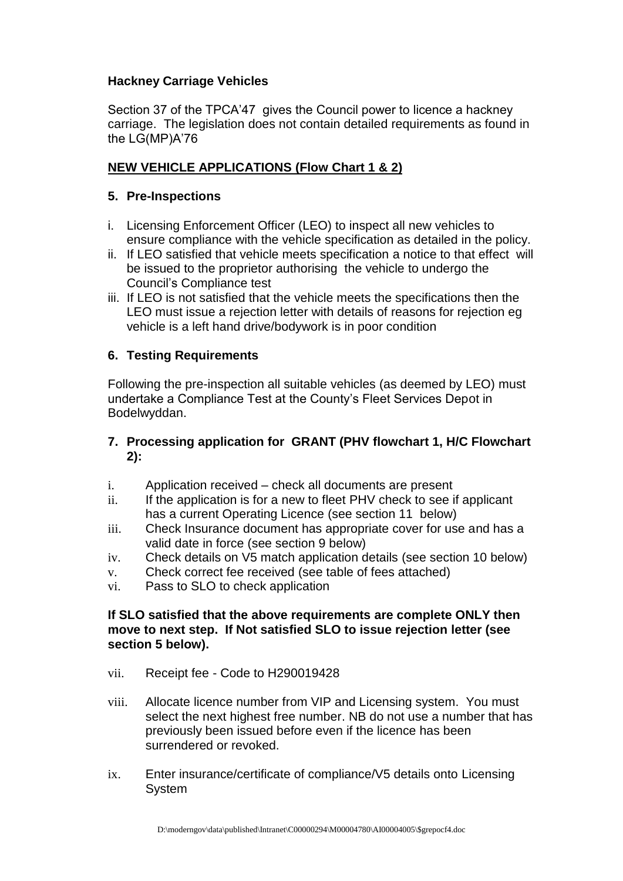#### **Hackney Carriage Vehicles**

Section 37 of the TPCA'47 gives the Council power to licence a hackney carriage. The legislation does not contain detailed requirements as found in the LG(MP)A'76

## **NEW VEHICLE APPLICATIONS (Flow Chart 1 & 2)**

#### **5. Pre-Inspections**

- i. Licensing Enforcement Officer (LEO) to inspect all new vehicles to ensure compliance with the vehicle specification as detailed in the policy.
- ii. If LEO satisfied that vehicle meets specification a notice to that effect will be issued to the proprietor authorising the vehicle to undergo the Council's Compliance test
- iii. If LEO is not satisfied that the vehicle meets the specifications then the LEO must issue a rejection letter with details of reasons for rejection eg vehicle is a left hand drive/bodywork is in poor condition

#### **6. Testing Requirements**

Following the pre-inspection all suitable vehicles (as deemed by LEO) must undertake a Compliance Test at the County's Fleet Services Depot in Bodelwyddan.

#### **7. Processing application for GRANT (PHV flowchart 1, H/C Flowchart 2):**

- i. Application received check all documents are present
- ii. If the application is for a new to fleet PHV check to see if applicant has a current Operating Licence (see section 11 below)
- iii. Check Insurance document has appropriate cover for use and has a valid date in force (see section 9 below)
- iv. Check details on V5 match application details (see section 10 below)
- v. Check correct fee received (see table of fees attached)
- vi. Pass to SLO to check application

#### **If SLO satisfied that the above requirements are complete ONLY then move to next step. If Not satisfied SLO to issue rejection letter (see section 5 below).**

- vii. Receipt fee Code to H290019428
- viii. Allocate licence number from VIP and Licensing system. You must select the next highest free number. NB do not use a number that has previously been issued before even if the licence has been surrendered or revoked.
- ix. Enter insurance/certificate of compliance/V5 details onto Licensing System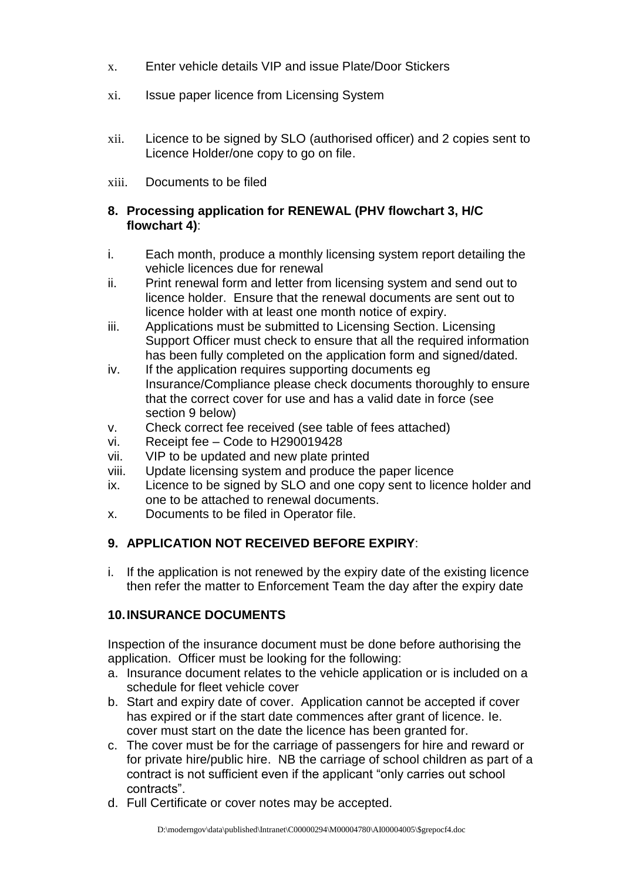- x. Enter vehicle details VIP and issue Plate/Door Stickers
- xi. Issue paper licence from Licensing System
- xii. Licence to be signed by SLO (authorised officer) and 2 copies sent to Licence Holder/one copy to go on file.
- xiii. Documents to be filed

#### **8. Processing application for RENEWAL (PHV flowchart 3, H/C flowchart 4)**:

- i. Each month, produce a monthly licensing system report detailing the vehicle licences due for renewal
- ii. Print renewal form and letter from licensing system and send out to licence holder. Ensure that the renewal documents are sent out to licence holder with at least one month notice of expiry.
- iii. Applications must be submitted to Licensing Section. Licensing Support Officer must check to ensure that all the required information has been fully completed on the application form and signed/dated.
- iv. If the application requires supporting documents eq Insurance/Compliance please check documents thoroughly to ensure that the correct cover for use and has a valid date in force (see section 9 below)
- v. Check correct fee received (see table of fees attached)
- vi. Receipt fee Code to H290019428
- vii. VIP to be updated and new plate printed
- viii. Update licensing system and produce the paper licence
- ix. Licence to be signed by SLO and one copy sent to licence holder and one to be attached to renewal documents.
- x. Documents to be filed in Operator file.

## **9. APPLICATION NOT RECEIVED BEFORE EXPIRY**:

i. If the application is not renewed by the expiry date of the existing licence then refer the matter to Enforcement Team the day after the expiry date

## **10.INSURANCE DOCUMENTS**

Inspection of the insurance document must be done before authorising the application. Officer must be looking for the following:

- a. Insurance document relates to the vehicle application or is included on a schedule for fleet vehicle cover
- b. Start and expiry date of cover. Application cannot be accepted if cover has expired or if the start date commences after grant of licence. Ie. cover must start on the date the licence has been granted for.
- c. The cover must be for the carriage of passengers for hire and reward or for private hire/public hire. NB the carriage of school children as part of a contract is not sufficient even if the applicant "only carries out school contracts".
- d. Full Certificate or cover notes may be accepted.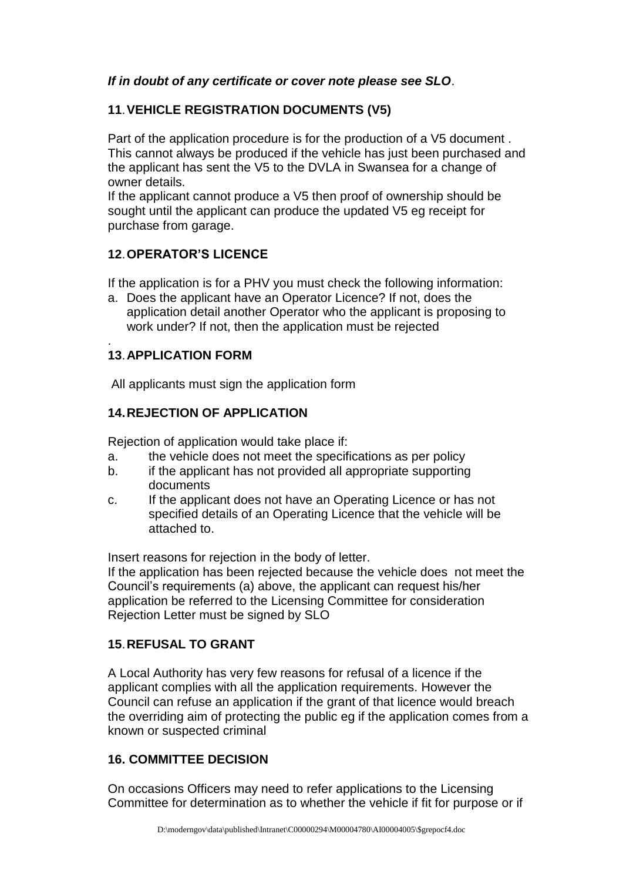## *If in doubt of any certificate or cover note please see SLO*.

## **11**.**VEHICLE REGISTRATION DOCUMENTS (V5)**

Part of the application procedure is for the production of a V5 document . This cannot always be produced if the vehicle has just been purchased and the applicant has sent the V5 to the DVLA in Swansea for a change of owner details.

If the applicant cannot produce a V5 then proof of ownership should be sought until the applicant can produce the updated V5 eg receipt for purchase from garage.

## **12**.**OPERATOR'S LICENCE**

If the application is for a PHV you must check the following information:

a. Does the applicant have an Operator Licence? If not, does the application detail another Operator who the applicant is proposing to work under? If not, then the application must be rejected

#### . **13**.**APPLICATION FORM**

All applicants must sign the application form

## **14.REJECTION OF APPLICATION**

Rejection of application would take place if:

- a. the vehicle does not meet the specifications as per policy
- b. if the applicant has not provided all appropriate supporting documents
- c. If the applicant does not have an Operating Licence or has not specified details of an Operating Licence that the vehicle will be attached to.

Insert reasons for rejection in the body of letter.

If the application has been rejected because the vehicle does not meet the Council's requirements (a) above, the applicant can request his/her application be referred to the Licensing Committee for consideration Rejection Letter must be signed by SLO

## **15**.**REFUSAL TO GRANT**

A Local Authority has very few reasons for refusal of a licence if the applicant complies with all the application requirements. However the Council can refuse an application if the grant of that licence would breach the overriding aim of protecting the public eg if the application comes from a known or suspected criminal

#### **16. COMMITTEE DECISION**

On occasions Officers may need to refer applications to the Licensing Committee for determination as to whether the vehicle if fit for purpose or if